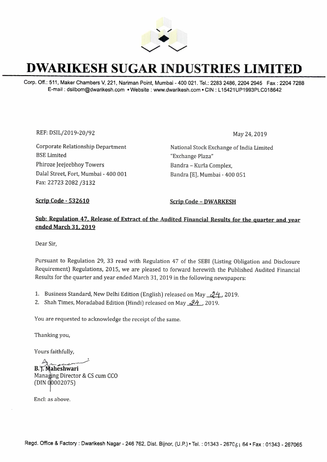

## **DWARIKESH SUGAR INDUSTRIES LIMITED**

Corp. Off.: 511, Maker Chambers V, 221, Nariman Point, Mumbai - 400 021. Tel.: 2283 2486, 2204 2945 Fax: 2204 7288 E-mail : dsilbom@dwarikesh.com • Website : www.dwarikesh.com • CIN : L 15421UP1993PLC018642

REF: DSIL/2019-20/92 May 24, 2019

Corporate Relationship Department BSE Limited Phiroze Jeejeebhoy Towers Dalal Street, Fort, Mumbai - 400 001 Fax: 22723 2082 /3132

National Stock Exchange of India Limited "Exchange Plaza" Bandra - Kurla Complex, Bandra [E], Mumbai - 400 051

**Scrip Code - 532610** Scrip Code - DWARKESH

### **Sub: Regulation 4 7. Release of Extract of the Audited Financial Results for the quarter and year ended March 31. 2019**

Dear Sir,

Pursuant to Regulation 29, 33 read with Regulation 47 of the SEBI (Listing Obligation and Disclosure Requirement) Regulations, 2015, we are pleased to forward herewith the Published Audited Financial Results for the quarter and year ended March 31, 2019 in the following newspapers:

- 1. Business Standard, New Delhi Edition (English) released on May 21, 2019.
- 2. Shah Times, Moradabad Edition (Hindi) released on May 24, 2019.

You are requested to acknowledge the receipt of the same.

Thanking you,

Yours faithfully,

 $~$ **Product School Search Controls Controls B. <b>7. Maheshwari**<br> **Managing Director & CS cum CCO** (DIN 002075)

Encl: as above.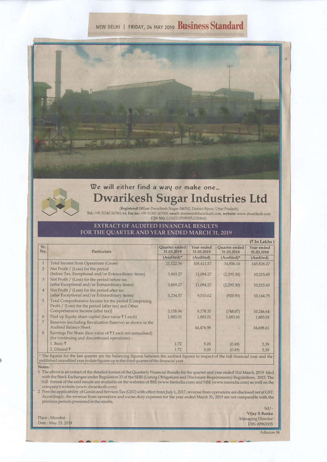## NEW DELHI | FRIDAY, 24 MAY 2019 Business Standard



# Dwarikesh Sugar Industries Ltd

(Registered Office: Dwarikesh Nagar-246762, District Bijnor, Uttar Pradesh) Tel.: +91 01343 267061-64, Fax no.: +91 01343 267065, email: investors@dwarikesh.com, website: www.dwarikesh.com CIN NO. L15421UP1993PLC018642

#### **EXTRACT OF AUDITED FINANCIAL RESULTS** FOR THE QUARTER AND YEAR ENDED MARCH 31, 2019

|                                                           |                                                                                                                                                                                                                                                                                                                                                                                                   |                          |                             | (₹ In Lakhs)             |
|-----------------------------------------------------------|---------------------------------------------------------------------------------------------------------------------------------------------------------------------------------------------------------------------------------------------------------------------------------------------------------------------------------------------------------------------------------------------------|--------------------------|-----------------------------|--------------------------|
| Sr.<br>No.<br><b>Particulars</b>                          | Quarter ended<br>31.03.2019                                                                                                                                                                                                                                                                                                                                                                       | Year ended<br>31.03.2019 | Quarter ended<br>31.03.2018 | Year ended<br>31.03.2018 |
|                                                           | (Audited)*                                                                                                                                                                                                                                                                                                                                                                                        | (Audited)                | (Audited)*                  | (Audited)                |
| Total Income from Operations (Gross)                      | 21,122.56                                                                                                                                                                                                                                                                                                                                                                                         | 108,411.57               | 34,936.16                   | 145,828.27               |
| Net Profit / (Loss) for the period                        |                                                                                                                                                                                                                                                                                                                                                                                                   |                          |                             |                          |
| (before Tax, Exceptional and/or Extraordinary items).     | 3,869.27                                                                                                                                                                                                                                                                                                                                                                                          | 11,094.27                | (2.295.30)                  | 10,215,65                |
| Net Profit / (Loss) for the period before tax             |                                                                                                                                                                                                                                                                                                                                                                                                   |                          |                             |                          |
| (after Exceptional and/or Extraordinary items)            | 3,869.27                                                                                                                                                                                                                                                                                                                                                                                          | 11,094.27                | (2,295,30)                  | 10,215.65                |
| Net Profit / (Loss) for the period after tax              |                                                                                                                                                                                                                                                                                                                                                                                                   |                          |                             |                          |
|                                                           | 3,234.57                                                                                                                                                                                                                                                                                                                                                                                          | 9,510.62                 | (920.93)                    | 10,144.75                |
|                                                           |                                                                                                                                                                                                                                                                                                                                                                                                   |                          |                             |                          |
|                                                           |                                                                                                                                                                                                                                                                                                                                                                                                   |                          |                             |                          |
|                                                           |                                                                                                                                                                                                                                                                                                                                                                                                   |                          |                             | 10,246.64                |
|                                                           | 1,883.01                                                                                                                                                                                                                                                                                                                                                                                          | 1,883.01                 | 1,883.01                    | 1,883.01                 |
|                                                           |                                                                                                                                                                                                                                                                                                                                                                                                   |                          |                             |                          |
|                                                           |                                                                                                                                                                                                                                                                                                                                                                                                   | 44,476.98                |                             | 34,698.61                |
| Earnings Per Share (face value of ₹1 each not annualised) |                                                                                                                                                                                                                                                                                                                                                                                                   |                          |                             |                          |
| 1. Basic ₹                                                | 1.72                                                                                                                                                                                                                                                                                                                                                                                              | 5.05                     | (0.49)                      | 5.39                     |
| 2. Diluted ₹                                              | 1.72                                                                                                                                                                                                                                                                                                                                                                                              | 5.05                     | (0.49)                      | 5.39                     |
|                                                           | (after Exceptional and/or Extraordinary items)<br>Total Comprehensive Income for the period [Comprising<br>Profit / (Loss) for the period (after tax) and Other<br>Comprehensive Income (after tax)]<br>Paid up Equity share capital (face value ₹1 each)<br>Reserves (excluding Revaluation Reserve) as shown in the<br>Audited Balance Sheet.<br>(for continuing and discontinued operations) - | 3,158.96                 | 9,778.35                    | (748.07)                 |

The figures for the last quarter are the balancing figures between the audited figures in respect of the full financial year and the published unaudited year to date figures up to the third quarter of the financial year.

Notes:

1 The above is an extract of the detailed format of the Quarterly Financial Results for the quarter and year ended 31st March, 2019 filed with the Stock Exchanges under Regulation 33 of the SEBI (Listing Obligations and Disclosure Requirements) Regulations, 2015. The full format of the said results are available on the websites of BSE (www.bseindia.com) and NSE (www.nseindia.com) as well on the company's website (www.dwarikesh.com).

2 Post the applicability of Goods and Services Tax (GST) with effect from July 1, 2017, revenue from operations are disclosed net of GST. Accordingly, the revenue from operations and excise duty expenses for the year ended March 31, 2019 are not comparable with the previous periods presented in the results.

Place: Mumbai Date: May 23, 2019

 $Sd/-$ Vijay S Banka Managing Director DIN 00963355